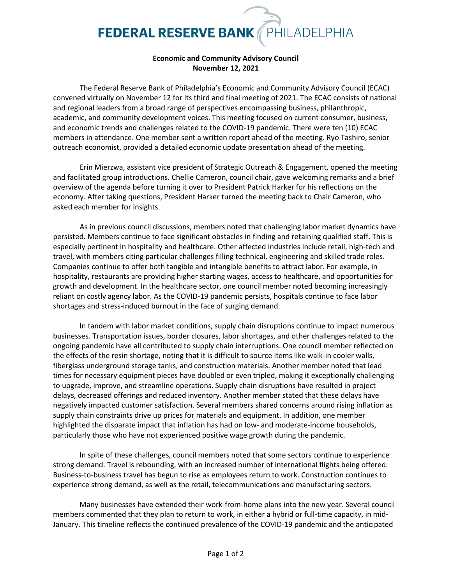## **FEDERAL RESERVE BANK** PHILADELPHIA

## **Economic and Community Advisory Council November 12, 2021**

The Federal Reserve Bank of Philadelphia's Economic and Community Advisory Council (ECAC) convened virtually on November 12 for its third and final meeting of 2021. The ECAC consists of national and regional leaders from a broad range of perspectives encompassing business, philanthropic, academic, and community development voices. This meeting focused on current consumer, business, and economic trends and challenges related to the COVID-19 pandemic. There were ten (10) ECAC members in attendance. One member sent a written report ahead of the meeting. Ryo Tashiro, senior outreach economist, provided a detailed economic update presentation ahead of the meeting.

Erin Mierzwa, assistant vice president of Strategic Outreach & Engagement, opened the meeting and facilitated group introductions. Chellie Cameron, council chair, gave welcoming remarks and a brief overview of the agenda before turning it over to President Patrick Harker for his reflections on the economy. After taking questions, President Harker turned the meeting back to Chair Cameron, who asked each member for insights.

As in previous council discussions, members noted that challenging labor market dynamics have persisted. Members continue to face significant obstacles in finding and retaining qualified staff. This is especially pertinent in hospitality and healthcare. Other affected industries include retail, high-tech and travel, with members citing particular challenges filling technical, engineering and skilled trade roles. Companies continue to offer both tangible and intangible benefits to attract labor. For example, in hospitality, restaurants are providing higher starting wages, access to healthcare, and opportunities for growth and development. In the healthcare sector, one council member noted becoming increasingly reliant on costly agency labor. As the COVID-19 pandemic persists, hospitals continue to face labor shortages and stress-induced burnout in the face of surging demand.

In tandem with labor market conditions, supply chain disruptions continue to impact numerous businesses. Transportation issues, border closures, labor shortages, and other challenges related to the ongoing pandemic have all contributed to supply chain interruptions. One council member reflected on the effects of the resin shortage, noting that it is difficult to source items like walk-in cooler walls, fiberglass underground storage tanks, and construction materials. Another member noted that lead times for necessary equipment pieces have doubled or even tripled, making it exceptionally challenging to upgrade, improve, and streamline operations. Supply chain disruptions have resulted in project delays, decreased offerings and reduced inventory. Another member stated that these delays have negatively impacted customer satisfaction. Several members shared concerns around rising inflation as supply chain constraints drive up prices for materials and equipment. In addition, one member highlighted the disparate impact that inflation has had on low- and moderate-income households, particularly those who have not experienced positive wage growth during the pandemic.

In spite of these challenges, council members noted that some sectors continue to experience strong demand. Travel is rebounding, with an increased number of international flights being offered. Business-to-business travel has begun to rise as employees return to work. Construction continues to experience strong demand, as well as the retail, telecommunications and manufacturing sectors.

Many businesses have extended their work-from-home plans into the new year. Several council members commented that they plan to return to work, in either a hybrid or full-time capacity, in mid-January. This timeline reflects the continued prevalence of the COVID-19 pandemic and the anticipated